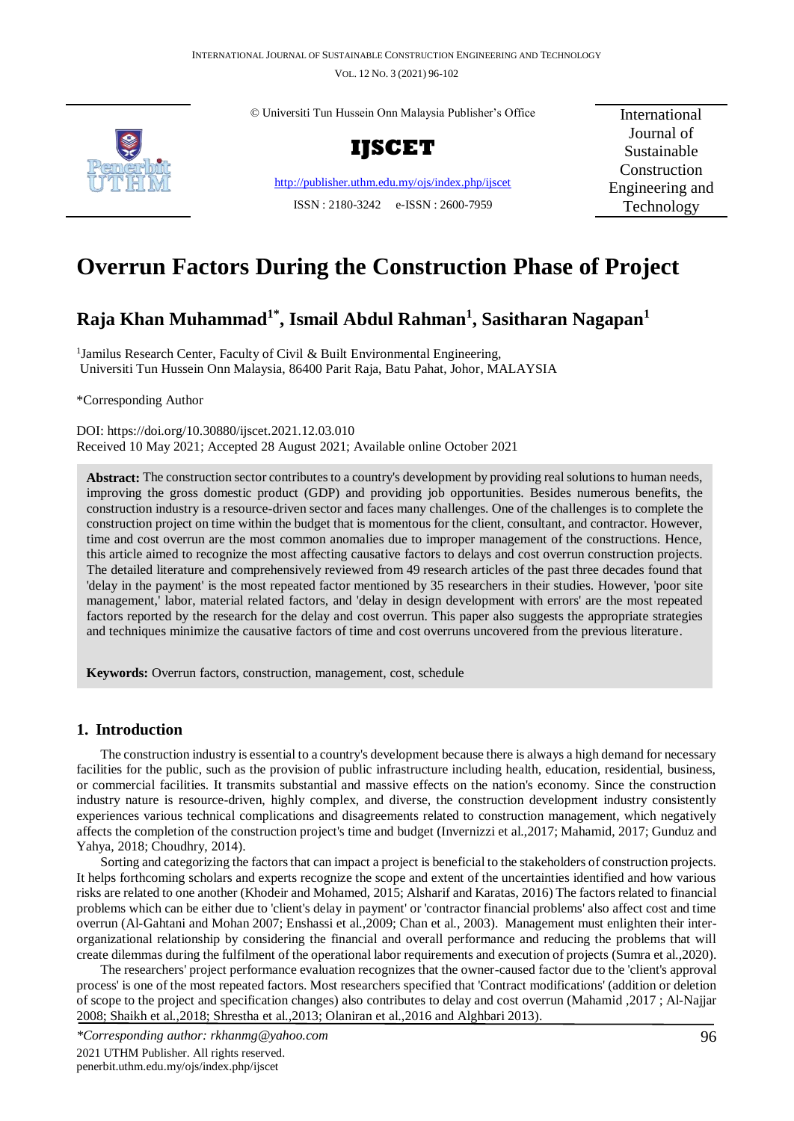

© Universiti Tun Hussein Onn Malaysia Publisher's Office



<http://publisher.uthm.edu.my/ojs/index.php/ijscet> ISSN : 2180-3242 e-ISSN : 2600-7959

International Journal of Sustainable Construction Engineering and Technology

# **Overrun Factors During the Construction Phase of Project**

# **Raja Khan Muhammad1\* , Ismail Abdul Rahman<sup>1</sup> , Sasitharan Nagapan<sup>1</sup>**

<sup>1</sup> Jamilus Research Center, Faculty of Civil & Built Environmental Engineering, Universiti Tun Hussein Onn Malaysia, 86400 Parit Raja, Batu Pahat, Johor, MALAYSIA

\*Corresponding Author

DOI: https://doi.org/10.30880/ijscet.2021.12.03.010 Received 10 May 2021; Accepted 28 August 2021; Available online October 2021

**Abstract:** The construction sector contributes to a country's development by providing real solutions to human needs, improving the gross domestic product (GDP) and providing job opportunities. Besides numerous benefits, the construction industry is a resource-driven sector and faces many challenges. One of the challenges is to complete the construction project on time within the budget that is momentous for the client, consultant, and contractor. However, time and cost overrun are the most common anomalies due to improper management of the constructions. Hence, this article aimed to recognize the most affecting causative factors to delays and cost overrun construction projects. The detailed literature and comprehensively reviewed from 49 research articles of the past three decades found that 'delay in the payment' is the most repeated factor mentioned by 35 researchers in their studies. However, 'poor site management,' labor, material related factors, and 'delay in design development with errors' are the most repeated factors reported by the research for the delay and cost overrun. This paper also suggests the appropriate strategies and techniques minimize the causative factors of time and cost overruns uncovered from the previous literature.

**Keywords:** Overrun factors, construction, management, cost, schedule

# **1. Introduction**

The construction industry is essential to a country's development because there is always a high demand for necessary facilities for the public, such as the provision of public infrastructure including health, education, residential, business, or commercial facilities. It transmits substantial and massive effects on the nation's economy. Since the construction industry nature is resource-driven, highly complex, and diverse, the construction development industry consistently experiences various technical complications and disagreements related to construction management, which negatively affects the completion of the construction project's time and budget (Invernizzi et al.,2017; Mahamid, 2017; Gunduz and Yahya, 2018; Choudhry, 2014).

Sorting and categorizing the factors that can impact a project is beneficial to the stakeholders of construction projects. It helps forthcoming scholars and experts recognize the scope and extent of the uncertainties identified and how various risks are related to one another (Khodeir and Mohamed, 2015; Alsharif and Karatas, 2016) The factors related to financial problems which can be either due to 'client's delay in payment' or 'contractor financial problems' also affect cost and time overrun (Al-Gahtani and Mohan 2007; Enshassi et al.,2009; Chan et al., 2003). Management must enlighten their interorganizational relationship by considering the financial and overall performance and reducing the problems that will create dilemmas during the fulfilment of the operational labor requirements and execution of projects (Sumra et al.,2020).

The researchers' project performance evaluation recognizes that the owner-caused factor due to the 'client's approval process' is one of the most repeated factors. Most researchers specified that 'Contract modifications' (addition or deletion of scope to the project and specification changes) also contributes to delay and cost overrun (Mahamid ,2017 ; Al-Najjar 2008; Shaikh et al.,2018; Shrestha et al.,2013; Olaniran et al.,2016 and Alghbari 2013).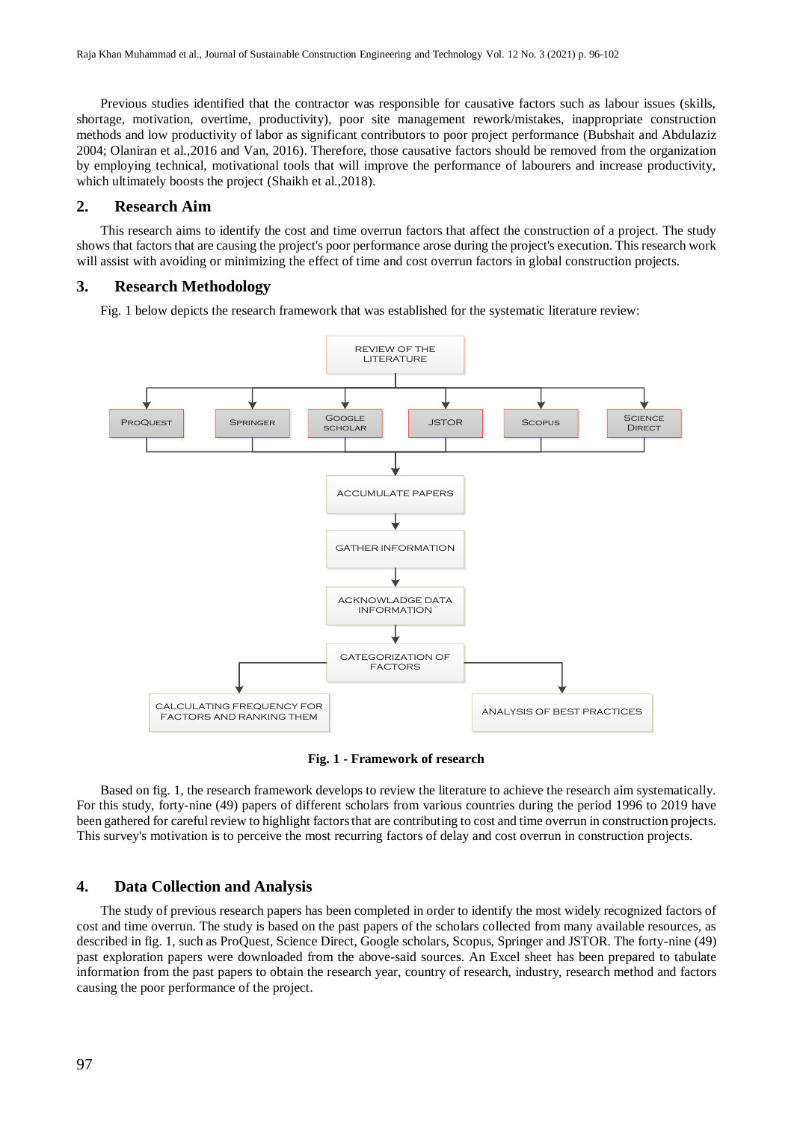Previous studies identified that the contractor was responsible for causative factors such as labour issues (skills, shortage, motivation, overtime, productivity), poor site management rework/mistakes, inappropriate construction methods and low productivity of labor as significant contributors to poor project performance (Bubshait and Abdulaziz 2004; Olaniran et al.,2016 and Van, 2016). Therefore, those causative factors should be removed from the organization by employing technical, motivational tools that will improve the performance of labourers and increase productivity, which ultimately boosts the project (Shaikh et al.,2018).

#### **2. Research Aim**

This research aims to identify the cost and time overrun factors that affect the construction of a project. The study shows that factors that are causing the project's poor performance arose during the project's execution. This research work will assist with avoiding or minimizing the effect of time and cost overrun factors in global construction projects.

#### **3. Research Methodology**

Fig. 1 below depicts the research framework that was established for the systematic literature review:



**Fig. 1 - Framework of research**

Based on fig. 1, the research framework develops to review the literature to achieve the research aim systematically. For this study, forty-nine (49) papers of different scholars from various countries during the period 1996 to 2019 have been gathered for careful review to highlight factors that are contributing to cost and time overrun in construction projects. This survey's motivation is to perceive the most recurring factors of delay and cost overrun in construction projects.

### **4. Data Collection and Analysis**

The study of previous research papers has been completed in order to identify the most widely recognized factors of cost and time overrun. The study is based on the past papers of the scholars collected from many available resources, as described in fig. 1, such as ProQuest, Science Direct, Google scholars, Scopus, Springer and JSTOR. The forty-nine (49) past exploration papers were downloaded from the above-said sources. An Excel sheet has been prepared to tabulate information from the past papers to obtain the research year, country of research, industry, research method and factors causing the poor performance of the project.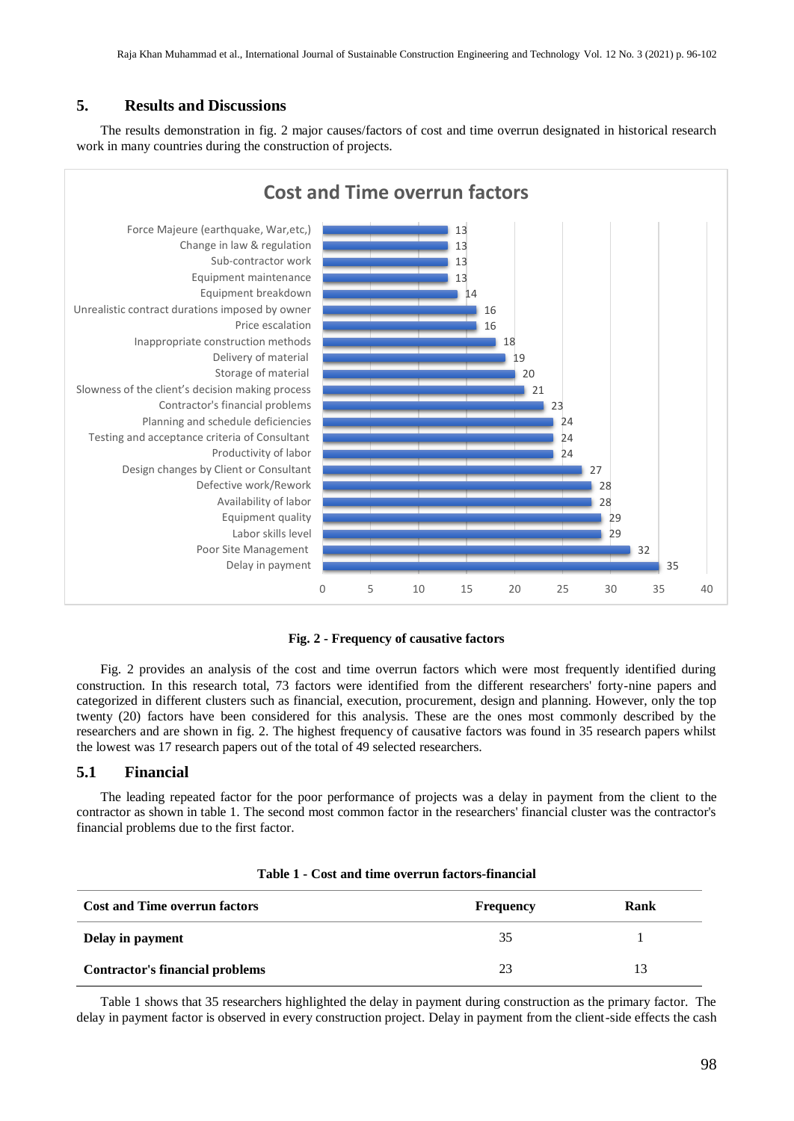# **5. Results and Discussions**

The results demonstration in fig. 2 major causes/factors of cost and time overrun designated in historical research work in many countries during the construction of projects.



**Fig. 2 - Frequency of causative factors**

Fig. 2 provides an analysis of the cost and time overrun factors which were most frequently identified during construction. In this research total, 73 factors were identified from the different researchers' forty-nine papers and categorized in different clusters such as financial, execution, procurement, design and planning. However, only the top twenty (20) factors have been considered for this analysis. These are the ones most commonly described by the researchers and are shown in fig. 2. The highest frequency of causative factors was found in 35 research papers whilst the lowest was 17 research papers out of the total of 49 selected researchers.

#### **5.1 Financial**

The leading repeated factor for the poor performance of projects was a delay in payment from the client to the contractor as shown in table 1. The second most common factor in the researchers' financial cluster was the contractor's financial problems due to the first factor.

| <b>Cost and Time overrun factors</b>   | <b>Frequency</b> | Rank |
|----------------------------------------|------------------|------|
| Delay in payment                       | 35               |      |
| <b>Contractor's financial problems</b> | 23               | 13   |

| Table 1 - Cost and time overrun factors-financial |  |
|---------------------------------------------------|--|
|---------------------------------------------------|--|

Table 1 shows that 35 researchers highlighted the delay in payment during construction as the primary factor. The delay in payment factor is observed in every construction project. Delay in payment from the client-side effects the cash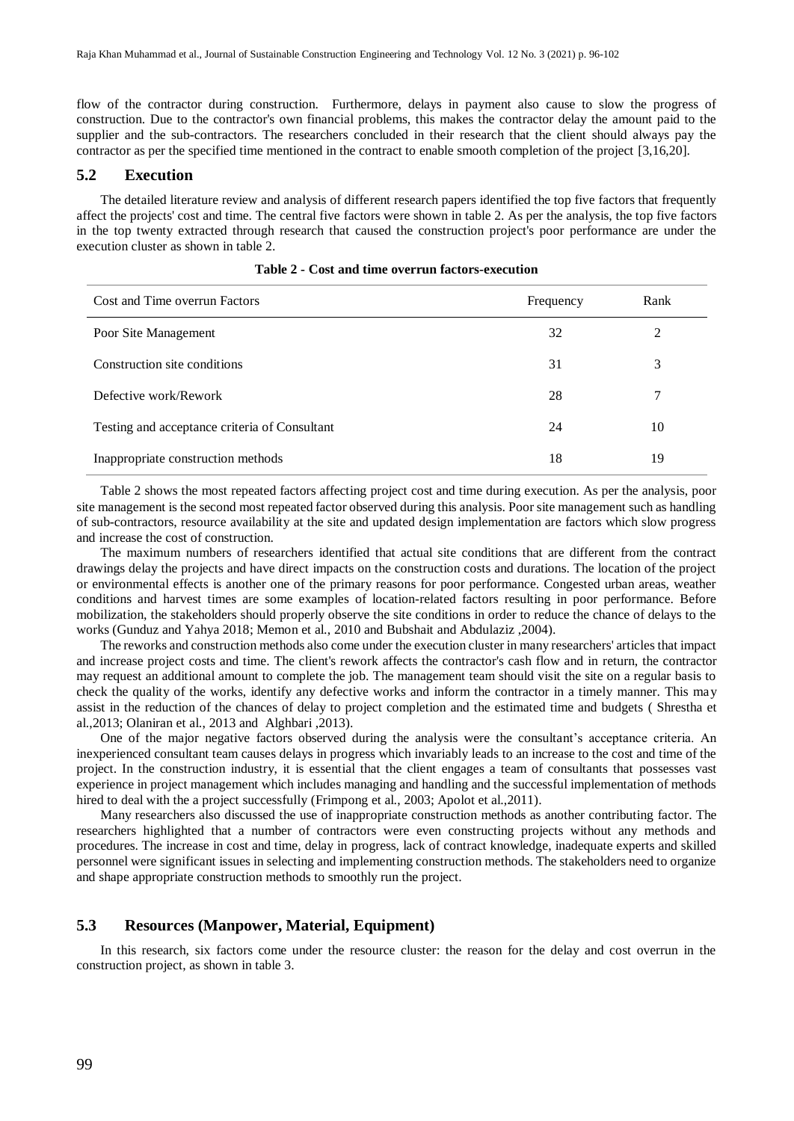flow of the contractor during construction. Furthermore, delays in payment also cause to slow the progress of construction. Due to the contractor's own financial problems, this makes the contractor delay the amount paid to the supplier and the sub-contractors. The researchers concluded in their research that the client should always pay the contractor as per the specified time mentioned in the contract to enable smooth completion of the project [3,16,20].

#### **5.2 Execution**

The detailed literature review and analysis of different research papers identified the top five factors that frequently affect the projects' cost and time. The central five factors were shown in table 2. As per the analysis, the top five factors in the top twenty extracted through research that caused the construction project's poor performance are under the execution cluster as shown in table 2.

| Cost and Time overrun Factors                 | Frequency | Rank           |
|-----------------------------------------------|-----------|----------------|
| Poor Site Management                          | 32        | $\mathfrak{D}$ |
| Construction site conditions                  | 31        | 3              |
| Defective work/Rework                         | 28        |                |
| Testing and acceptance criteria of Consultant | 24        | 10             |
| Inappropriate construction methods            | 18        | 19             |

|  |  | Table 2 - Cost and time overrun factors-execution |
|--|--|---------------------------------------------------|
|  |  |                                                   |

Table 2 shows the most repeated factors affecting project cost and time during execution. As per the analysis, poor site management is the second most repeated factor observed during this analysis. Poor site management such as handling of sub-contractors, resource availability at the site and updated design implementation are factors which slow progress and increase the cost of construction.

The maximum numbers of researchers identified that actual site conditions that are different from the contract drawings delay the projects and have direct impacts on the construction costs and durations. The location of the project or environmental effects is another one of the primary reasons for poor performance. Congested urban areas, weather conditions and harvest times are some examples of location-related factors resulting in poor performance. Before mobilization, the stakeholders should properly observe the site conditions in order to reduce the chance of delays to the works (Gunduz and Yahya 2018; Memon et al., 2010 and Bubshait and Abdulaziz ,2004).

The reworks and construction methods also come under the execution cluster in many researchers' articles that impact and increase project costs and time. The client's rework affects the contractor's cash flow and in return, the contractor may request an additional amount to complete the job. The management team should visit the site on a regular basis to check the quality of the works, identify any defective works and inform the contractor in a timely manner. This may assist in the reduction of the chances of delay to project completion and the estimated time and budgets ( Shrestha et al.,2013; Olaniran et al., 2013 and Alghbari ,2013).

One of the major negative factors observed during the analysis were the consultant's acceptance criteria. An inexperienced consultant team causes delays in progress which invariably leads to an increase to the cost and time of the project. In the construction industry, it is essential that the client engages a team of consultants that possesses vast experience in project management which includes managing and handling and the successful implementation of methods hired to deal with the a project successfully (Frimpong et al., 2003; Apolot et al., 2011).

Many researchers also discussed the use of inappropriate construction methods as another contributing factor. The researchers highlighted that a number of contractors were even constructing projects without any methods and procedures. The increase in cost and time, delay in progress, lack of contract knowledge, inadequate experts and skilled personnel were significant issues in selecting and implementing construction methods. The stakeholders need to organize and shape appropriate construction methods to smoothly run the project.

# **5.3 Resources (Manpower, Material, Equipment)**

In this research, six factors come under the resource cluster: the reason for the delay and cost overrun in the construction project, as shown in table 3.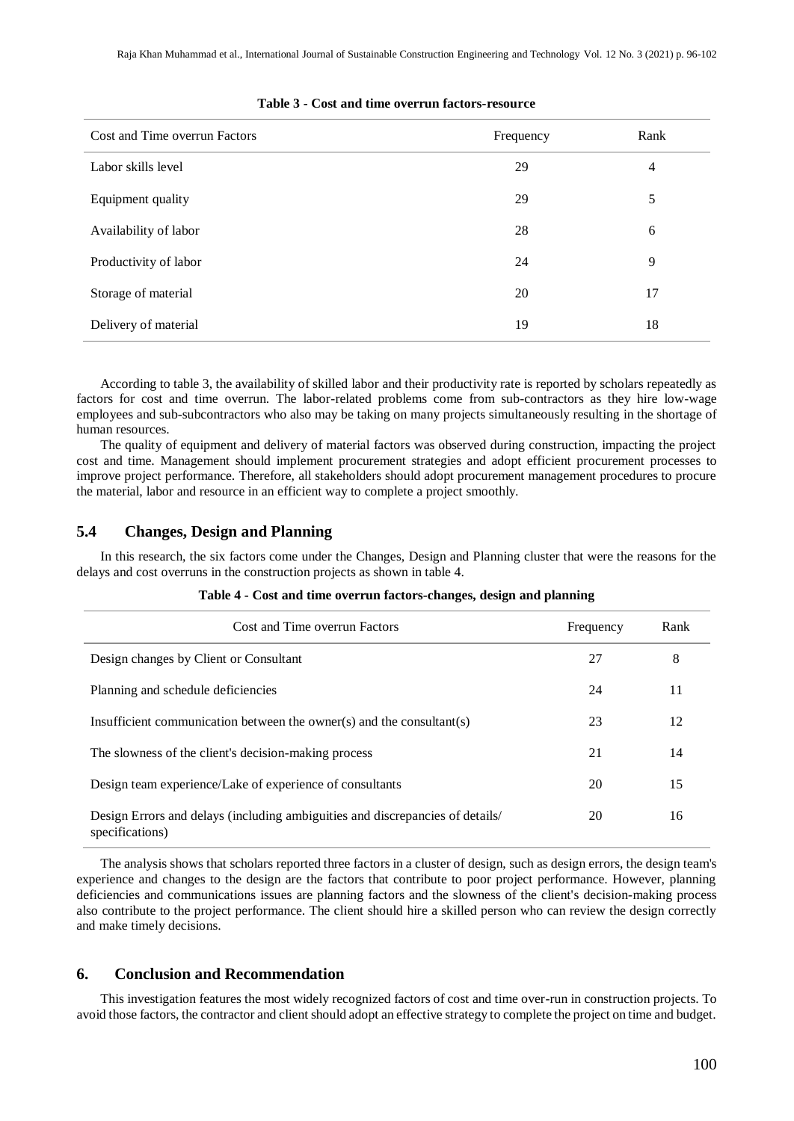| Cost and Time overrun Factors | Frequency | Rank           |
|-------------------------------|-----------|----------------|
| Labor skills level            | 29        | $\overline{4}$ |
| Equipment quality             | 29        | 5              |
| Availability of labor         | 28        | 6              |
| Productivity of labor         | 24        | 9              |
| Storage of material           | 20        | 17             |
| Delivery of material          | 19        | 18             |

#### **Table 3 - Cost and time overrun factors-resource**

According to table 3, the availability of skilled labor and their productivity rate is reported by scholars repeatedly as factors for cost and time overrun. The labor-related problems come from sub-contractors as they hire low-wage employees and sub-subcontractors who also may be taking on many projects simultaneously resulting in the shortage of human resources.

The quality of equipment and delivery of material factors was observed during construction, impacting the project cost and time. Management should implement procurement strategies and adopt efficient procurement processes to improve project performance. Therefore, all stakeholders should adopt procurement management procedures to procure the material, labor and resource in an efficient way to complete a project smoothly.

# **5.4 Changes, Design and Planning**

In this research, the six factors come under the Changes, Design and Planning cluster that were the reasons for the delays and cost overruns in the construction projects as shown in table 4.

| Cost and Time overrun Factors                                                                    | Frequency | Rank |
|--------------------------------------------------------------------------------------------------|-----------|------|
| Design changes by Client or Consultant                                                           | 27        | 8    |
| Planning and schedule deficiencies                                                               | 24        | 11   |
| Insufficient communication between the owner(s) and the consultant(s)                            | 23        | 12   |
| The slowness of the client's decision-making process                                             | 21        | 14   |
| Design team experience/Lake of experience of consultants                                         | 20        | 15   |
| Design Errors and delays (including ambiguities and discrepancies of details/<br>specifications) | 20        | 16   |

#### **Table 4 - Cost and time overrun factors-changes, design and planning**

The analysis shows that scholars reported three factors in a cluster of design, such as design errors, the design team's experience and changes to the design are the factors that contribute to poor project performance. However, planning deficiencies and communications issues are planning factors and the slowness of the client's decision-making process also contribute to the project performance. The client should hire a skilled person who can review the design correctly and make timely decisions.

# **6. Conclusion and Recommendation**

This investigation features the most widely recognized factors of cost and time over-run in construction projects. To avoid those factors, the contractor and client should adopt an effective strategy to complete the project on time and budget.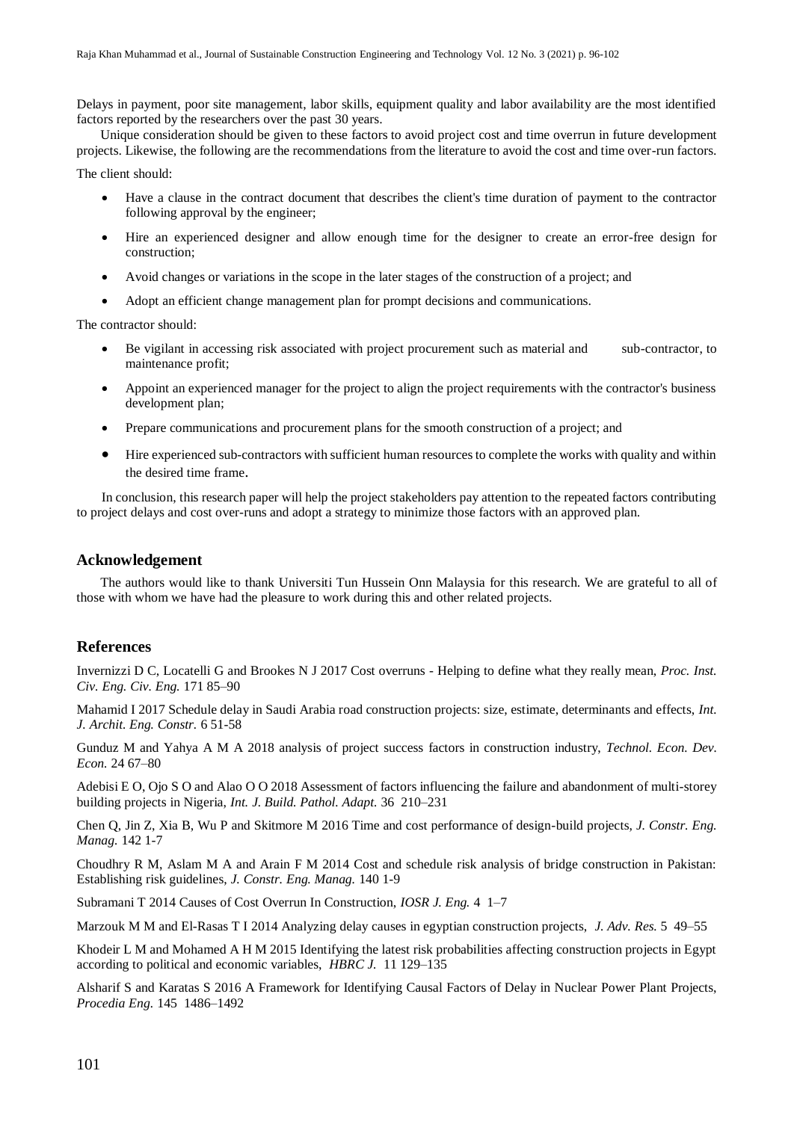Delays in payment, poor site management, labor skills, equipment quality and labor availability are the most identified factors reported by the researchers over the past 30 years.

Unique consideration should be given to these factors to avoid project cost and time overrun in future development projects. Likewise, the following are the recommendations from the literature to avoid the cost and time over-run factors.

The client should:

- Have a clause in the contract document that describes the client's time duration of payment to the contractor following approval by the engineer;
- Hire an experienced designer and allow enough time for the designer to create an error-free design for construction;
- Avoid changes or variations in the scope in the later stages of the construction of a project; and
- Adopt an efficient change management plan for prompt decisions and communications.

The contractor should:

- Be vigilant in accessing risk associated with project procurement such as material and sub-contractor, to maintenance profit;
- Appoint an experienced manager for the project to align the project requirements with the contractor's business development plan;
- Prepare communications and procurement plans for the smooth construction of a project; and
- Hire experienced sub-contractors with sufficient human resources to complete the works with quality and within the desired time frame.

In conclusion, this research paper will help the project stakeholders pay attention to the repeated factors contributing to project delays and cost over-runs and adopt a strategy to minimize those factors with an approved plan.

#### **Acknowledgement**

The authors would like to thank Universiti Tun Hussein Onn Malaysia for this research. We are grateful to all of those with whom we have had the pleasure to work during this and other related projects.

# **References**

Invernizzi D C, Locatelli G and Brookes N J 2017 Cost overruns - Helping to define what they really mean, *Proc. Inst. Civ. Eng. Civ. Eng.* 171 85–90

Mahamid I 2017 Schedule delay in Saudi Arabia road construction projects: size, estimate, determinants and effects, *Int. J. Archit. Eng. Constr.* 6 51-58

Gunduz M and Yahya A M A 2018 analysis of project success factors in construction industry, *Technol. Econ. Dev. Econ.* 24 67–80

Adebisi E O, Ojo S O and Alao O O 2018 Assessment of factors influencing the failure and abandonment of multi-storey building projects in Nigeria, *Int. J. Build. Pathol. Adapt.* 36 210–231

Chen Q, Jin Z, Xia B, Wu P and Skitmore M 2016 Time and cost performance of design-build projects, *J. Constr. Eng. Manag.* 142 1-7

Choudhry R M, Aslam M A and Arain F M 2014 Cost and schedule risk analysis of bridge construction in Pakistan: Establishing risk guidelines, *J. Constr. Eng. Manag.* 140 1-9

Subramani T 2014 Causes of Cost Overrun In Construction, *IOSR J. Eng.* 4 1–7

Marzouk M M and El-Rasas T I 2014 Analyzing delay causes in egyptian construction projects, *J. Adv. Res.* 5 49–55

Khodeir L M and Mohamed A H M 2015 Identifying the latest risk probabilities affecting construction projects in Egypt according to political and economic variables, *HBRC J.* 11 129–135

Alsharif S and Karatas S 2016 A Framework for Identifying Causal Factors of Delay in Nuclear Power Plant Projects, *Procedia Eng.* 145 1486–1492